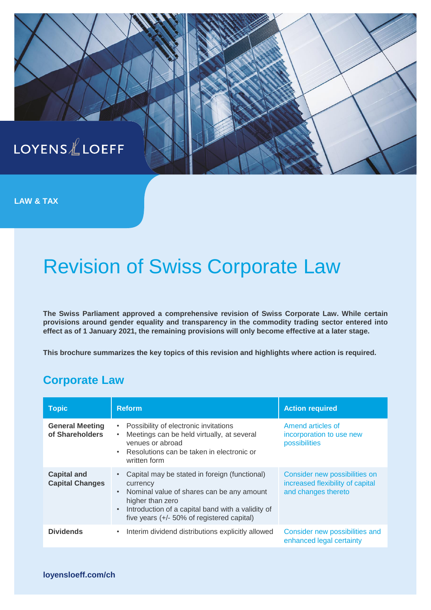

**LAW & TAX**

# Revision of Swiss Corporate Law

**The Swiss Parliament approved a comprehensive revision of Swiss Corporate Law. While certain provisions around gender equality and transparency in the commodity trading sector entered into effect as of 1 January 2021, the remaining provisions will only become effective at a later stage.**

**This brochure summarizes the key topics of this revision and highlights where action is required.**

#### **Corporate Law**

| <b>Topic</b>                                 | <b>Reform</b>                                                                                                                                                                                                                                              | <b>Action required</b>                                                                   |
|----------------------------------------------|------------------------------------------------------------------------------------------------------------------------------------------------------------------------------------------------------------------------------------------------------------|------------------------------------------------------------------------------------------|
| <b>General Meeting</b><br>of Shareholders    | Possibility of electronic invitations<br>$\bullet$<br>Meetings can be held virtually, at several<br>$\bullet$<br>venues or abroad<br>Resolutions can be taken in electronic or<br>$\bullet$<br>written form                                                | Amend articles of<br>incorporation to use new<br>possibilities                           |
| <b>Capital and</b><br><b>Capital Changes</b> | Capital may be stated in foreign (functional)<br>currency<br>Nominal value of shares can be any amount<br>$\bullet$<br>higher than zero<br>Introduction of a capital band with a validity of<br>$\bullet$<br>five years $(+/- 50\%$ of registered capital) | Consider new possibilities on<br>increased flexibility of capital<br>and changes thereto |
| <b>Dividends</b>                             | Interim dividend distributions explicitly allowed<br>$\bullet$                                                                                                                                                                                             | Consider new possibilities and<br>enhanced legal certainty                               |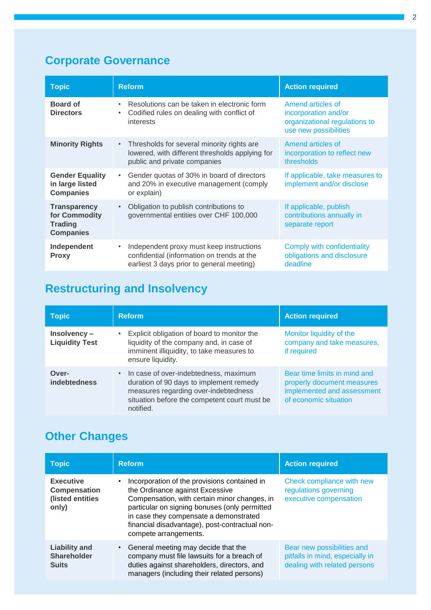### **Corporate Governance**

| <b>Topic</b>                                                               | <b>Reform</b>                                                                                                                                    | <b>Action required</b>                                                                              |
|----------------------------------------------------------------------------|--------------------------------------------------------------------------------------------------------------------------------------------------|-----------------------------------------------------------------------------------------------------|
| <b>Board of</b><br><b>Directors</b>                                        | Resolutions can be taken in electronic form<br>$\bullet$<br>Codified rules on dealing with conflict of<br>$\bullet$<br>interests                 | Amend articles of<br>incorporation and/or<br>organizational regulations to<br>use new possibilities |
| <b>Minority Rights</b>                                                     | Thresholds for several minority rights are<br>$\bullet$ .<br>lowered, with different thresholds applying for<br>public and private companies     | Amend articles of<br>incorporation to reflect new<br>thresholds                                     |
| <b>Gender Equality</b><br>in large listed<br><b>Companies</b>              | Gender quotas of 30% in board of directors<br>$\bullet$<br>and 20% in executive management (comply<br>or explain)                                | If applicable, take measures to<br>implement and/or disclose                                        |
| <b>Transparency</b><br>for Commodity<br><b>Trading</b><br><b>Companies</b> | Obligation to publish contributions to<br>$\bullet$<br>governmental entities over CHF 100,000                                                    | If applicable, publish<br>contributions annually in<br>separate report                              |
| Independent<br><b>Proxy</b>                                                | Independent proxy must keep instructions<br>$\bullet$<br>confidential (information on trends at the<br>earliest 3 days prior to general meeting) | Comply with confidentiality<br>obligations and disclosure<br>deadline                               |

## **Restructuring and Insolvency**

| <b>Topic</b>                         | <b>Reform</b>                                                                                                                                                                         | <b>Action required</b>                                                                                            |
|--------------------------------------|---------------------------------------------------------------------------------------------------------------------------------------------------------------------------------------|-------------------------------------------------------------------------------------------------------------------|
| Insolvency-<br><b>Liquidity Test</b> | Explicit obligation of board to monitor the<br>liquidity of the company and, in case of<br>imminent illiquidity, to take measures to<br>ensure liquidity.                             | Monitor liquidity of the<br>company and take measures,<br>if required                                             |
| Over-<br><b>indebtedness</b>         | In case of over-indebtedness, maximum<br>duration of 90 days to implement remedy<br>measures regarding over-indebtedness<br>situation before the competent court must be<br>notified. | Bear time limits in mind and<br>properly document measures<br>implemented and assessment<br>of economic situation |

## **Other Changes**

| <b>Topic</b>                                                         | <b>Reform</b>                                                                                                                                                                                                                                                                                         | <b>Action required</b>                                                                        |
|----------------------------------------------------------------------|-------------------------------------------------------------------------------------------------------------------------------------------------------------------------------------------------------------------------------------------------------------------------------------------------------|-----------------------------------------------------------------------------------------------|
| <b>Executive</b><br><b>Compensation</b><br>(listed entities<br>only) | Incorporation of the provisions contained in<br>the Ordinance against Excessive<br>Compensation, with certain minor changes, in<br>particular on signing bonuses (only permitted<br>in case they compensate a demonstrated<br>financial disadvantage), post-contractual non-<br>compete arrangements. | Check compliance with new<br>regulations governing<br>executive compensation                  |
| <b>Liability and</b><br><b>Shareholder</b><br><b>Suits</b>           | General meeting may decide that the<br>company must file lawsuits for a breach of<br>duties against shareholders, directors, and<br>managers (including their related persons)                                                                                                                        | Bear new possibilities and<br>pitfalls in mind, especially in<br>dealing with related persons |